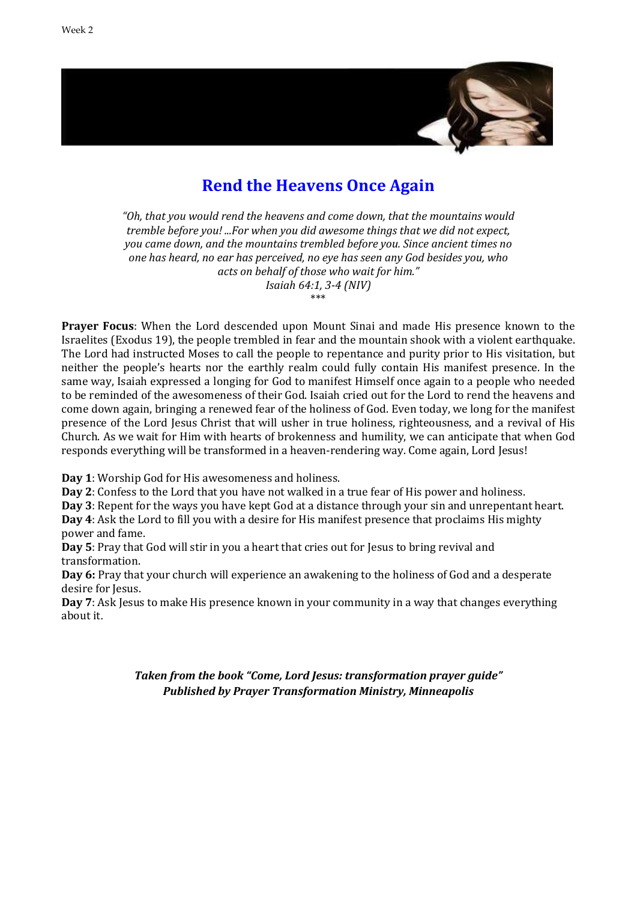

## **Rend the Heavens Once Again**

*"Oh, that you would rend the heavens and come down, that the mountains would tremble before you! ...For when you did awesome things that we did not expect, you came down, and the mountains trembled before you. Since ancient times no one has heard, no ear has perceived, no eye has seen any God besides you, who acts on behalf of those who wait for him." Isaiah 64:1, 3-4 (NIV)* \*\*\*

**Prayer Focus**: When the Lord descended upon Mount Sinai and made His presence known to the Israelites (Exodus 19), the people trembled in fear and the mountain shook with a violent earthquake. The Lord had instructed Moses to call the people to repentance and purity prior to His visitation, but neither the people's hearts nor the earthly realm could fully contain His manifest presence. In the same way, Isaiah expressed a longing for God to manifest Himself once again to a people who needed to be reminded of the awesomeness of their God. Isaiah cried out for the Lord to rend the heavens and come down again, bringing a renewed fear of the holiness of God. Even today, we long for the manifest presence of the Lord Jesus Christ that will usher in true holiness, righteousness, and a revival of His Church. As we wait for Him with hearts of brokenness and humility, we can anticipate that when God responds everything will be transformed in a heaven-rendering way. Come again, Lord Jesus!

**Day 1**: Worship God for His awesomeness and holiness.

**Day 2**: Confess to the Lord that you have not walked in a true fear of His power and holiness.

**Day 3**: Repent for the ways you have kept God at a distance through your sin and unrepentant heart.

**Day 4**: Ask the Lord to fill you with a desire for His manifest presence that proclaims His mighty power and fame.

**Day 5**: Pray that God will stir in you a heart that cries out for Jesus to bring revival and transformation.

**Day 6:** Pray that your church will experience an awakening to the holiness of God and a desperate desire for Jesus.

**Day 7**: Ask Jesus to make His presence known in your community in a way that changes everything about it.

> *Taken from the book "Come, Lord Jesus: transformation prayer guide" Published by Prayer Transformation Ministry, Minneapolis*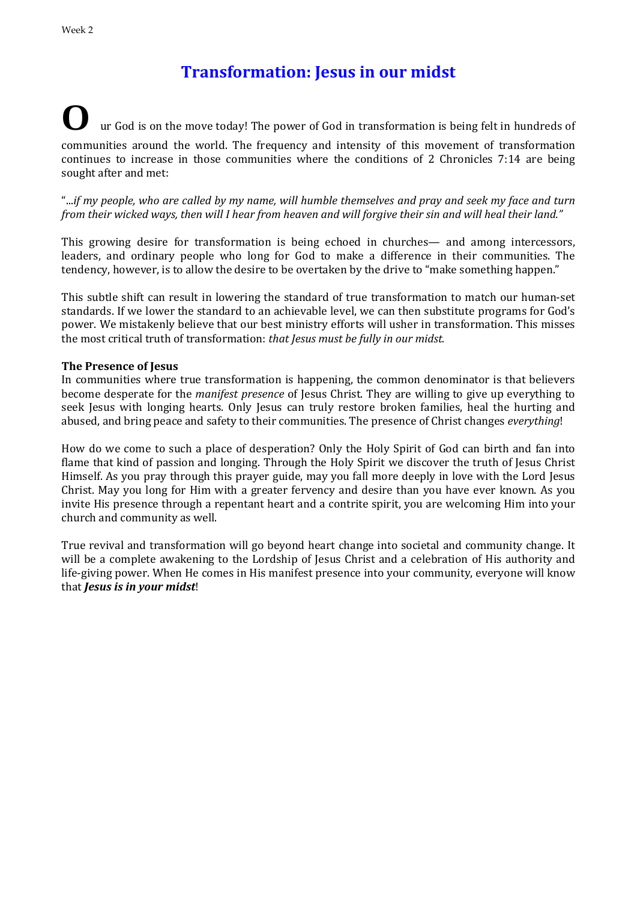# **Transformation: Jesus in our midst**

## **O** ur God is on the move today! The power of God in transformation is being felt in hundreds of communities around the world. The frequency and intensity of this movement of transformation continues to increase in those communities where the conditions of 2 Chronicles 7:14 are being sought after and met:

"...*if my people, who are called by my name, will humble themselves and pray and seek my face and turn from their wicked ways, then will I hear from heaven and will forgive their sin and will heal their land."*

This growing desire for transformation is being echoed in churches— and among intercessors, leaders, and ordinary people who long for God to make a difference in their communities. The tendency, however, is to allow the desire to be overtaken by the drive to "make something happen."

This subtle shift can result in lowering the standard of true transformation to match our human-set standards. If we lower the standard to an achievable level, we can then substitute programs for God's power. We mistakenly believe that our best ministry efforts will usher in transformation. This misses the most critical truth of transformation: *that Jesus must be fully in our midst.*

#### **The Presence of Jesus**

In communities where true transformation is happening, the common denominator is that believers become desperate for the *manifest presence* of Jesus Christ. They are willing to give up everything to seek Jesus with longing hearts. Only Jesus can truly restore broken families, heal the hurting and abused, and bring peace and safety to their communities. The presence of Christ changes *everything*!

How do we come to such a place of desperation? Only the Holy Spirit of God can birth and fan into flame that kind of passion and longing. Through the Holy Spirit we discover the truth of Jesus Christ Himself. As you pray through this prayer guide, may you fall more deeply in love with the Lord Jesus Christ. May you long for Him with a greater fervency and desire than you have ever known. As you invite His presence through a repentant heart and a contrite spirit, you are welcoming Him into your church and community as well.

True revival and transformation will go beyond heart change into societal and community change. It will be a complete awakening to the Lordship of Jesus Christ and a celebration of His authority and life-giving power. When He comes in His manifest presence into your community, everyone will know that *Jesus is in your midst*!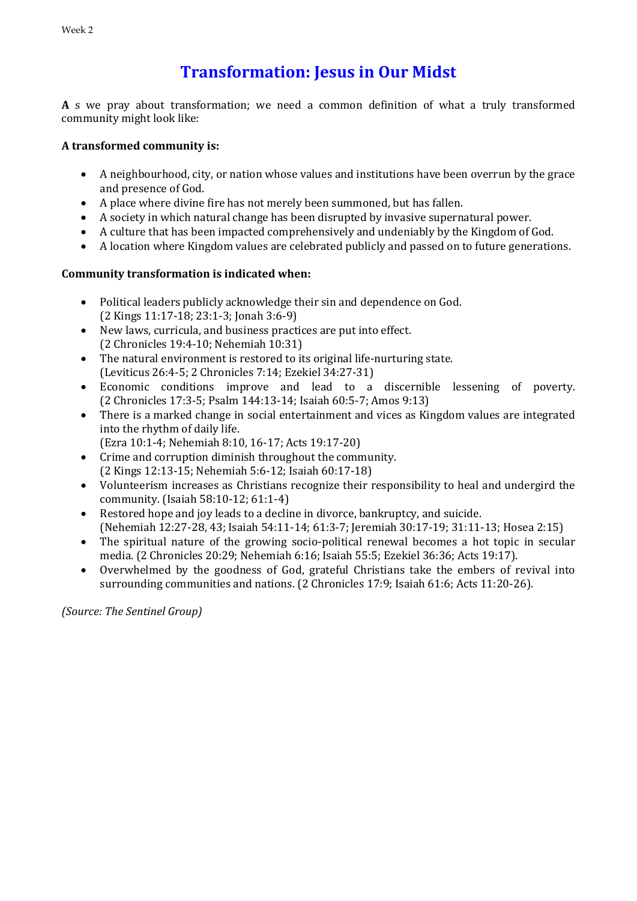# **Transformation: Jesus in Our Midst**

**A** s we pray about transformation; we need a common definition of what a truly transformed community might look like:

### **A transformed community is:**

- A neighbourhood, city, or nation whose values and institutions have been overrun by the grace and presence of God.
- A place where divine fire has not merely been summoned, but has fallen.
- A society in which natural change has been disrupted by invasive supernatural power.
- A culture that has been impacted comprehensively and undeniably by the Kingdom of God.
- A location where Kingdom values are celebrated publicly and passed on to future generations.

### **Community transformation is indicated when:**

- Political leaders publicly acknowledge their sin and dependence on God. (2 Kings 11:17-18; 23:1-3; Jonah 3:6-9)
- New laws, curricula, and business practices are put into effect. (2 Chronicles 19:4-10; Nehemiah 10:31)
- The natural environment is restored to its original life-nurturing state. (Leviticus 26:4-5; 2 Chronicles 7:14; Ezekiel 34:27-31)
- Economic conditions improve and lead to a discernible lessening of poverty. (2 Chronicles 17:3-5; Psalm 144:13-14; Isaiah 60:5-7; Amos 9:13)
- There is a marked change in social entertainment and vices as Kingdom values are integrated into the rhythm of daily life.
	- (Ezra 10:1-4; Nehemiah 8:10, 16-17; Acts 19:17-20)
- Crime and corruption diminish throughout the community. (2 Kings 12:13-15; Nehemiah 5:6-12; Isaiah 60:17-18)
- Volunteerism increases as Christians recognize their responsibility to heal and undergird the community. (Isaiah 58:10-12; 61:1-4)
- Restored hope and joy leads to a decline in divorce, bankruptcy, and suicide. (Nehemiah 12:27-28, 43; Isaiah 54:11-14; 61:3-7; Jeremiah 30:17-19; 31:11-13; Hosea 2:15)
- The spiritual nature of the growing socio-political renewal becomes a hot topic in secular media. (2 Chronicles 20:29; Nehemiah 6:16; Isaiah 55:5; Ezekiel 36:36; Acts 19:17).
- Overwhelmed by the goodness of God, grateful Christians take the embers of revival into surrounding communities and nations. (2 Chronicles 17:9; Isaiah 61:6; Acts 11:20-26).

*(Source: The Sentinel Group)*